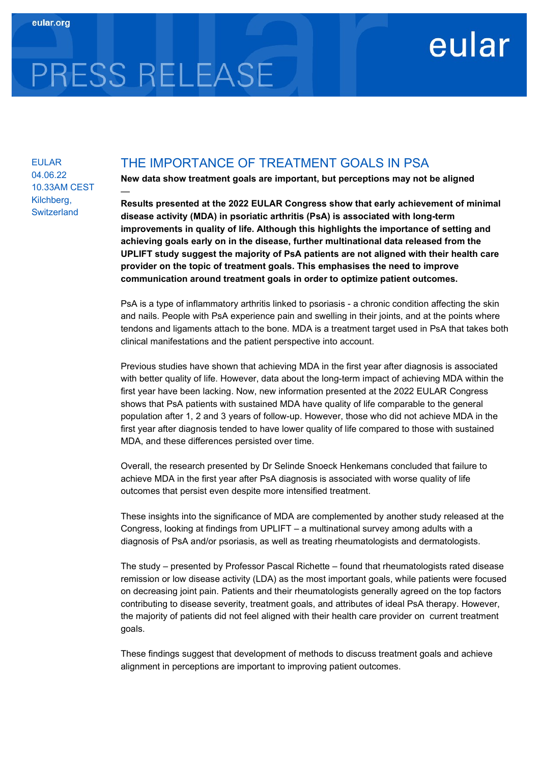## eular

# PRESS RELEASE

—

EULAR 04.06.22 10.33AM CEST Kilchberg, **Switzerland** 

### THE IMPORTANCE OF TREATMENT GOALS IN PSA

New data show treatment goals are important, but perceptions may not be aligned

Results presented at the 2022 EULAR Congress show that early achievement of minimal disease activity (MDA) in psoriatic arthritis (PsA) is associated with long-term improvements in quality of life. Although this highlights the importance of setting and achieving goals early on in the disease, further multinational data released from the UPLIFT study suggest the majority of PsA patients are not aligned with their health care provider on the topic of treatment goals. This emphasises the need to improve communication around treatment goals in order to optimize patient outcomes.

PsA is a type of inflammatory arthritis linked to psoriasis - a chronic condition affecting the skin and nails. People with PsA experience pain and swelling in their joints, and at the points where tendons and ligaments attach to the bone. MDA is a treatment target used in PsA that takes both clinical manifestations and the patient perspective into account.

Previous studies have shown that achieving MDA in the first year after diagnosis is associated with better quality of life. However, data about the long-term impact of achieving MDA within the first year have been lacking. Now, new information presented at the 2022 EULAR Congress shows that PsA patients with sustained MDA have quality of life comparable to the general population after 1, 2 and 3 years of follow-up. However, those who did not achieve MDA in the first year after diagnosis tended to have lower quality of life compared to those with sustained MDA, and these differences persisted over time.

Overall, the research presented by Dr Selinde Snoeck Henkemans concluded that failure to achieve MDA in the first year after PsA diagnosis is associated with worse quality of life outcomes that persist even despite more intensified treatment.

These insights into the significance of MDA are complemented by another study released at the Congress, looking at findings from UPLIFT – a multinational survey among adults with a diagnosis of PsA and/or psoriasis, as well as treating rheumatologists and dermatologists.

The study – presented by Professor Pascal Richette – found that rheumatologists rated disease remission or low disease activity (LDA) as the most important goals, while patients were focused on decreasing joint pain. Patients and their rheumatologists generally agreed on the top factors contributing to disease severity, treatment goals, and attributes of ideal PsA therapy. However, the majority of patients did not feel aligned with their health care provider on current treatment goals.

These findings suggest that development of methods to discuss treatment goals and achieve alignment in perceptions are important to improving patient outcomes.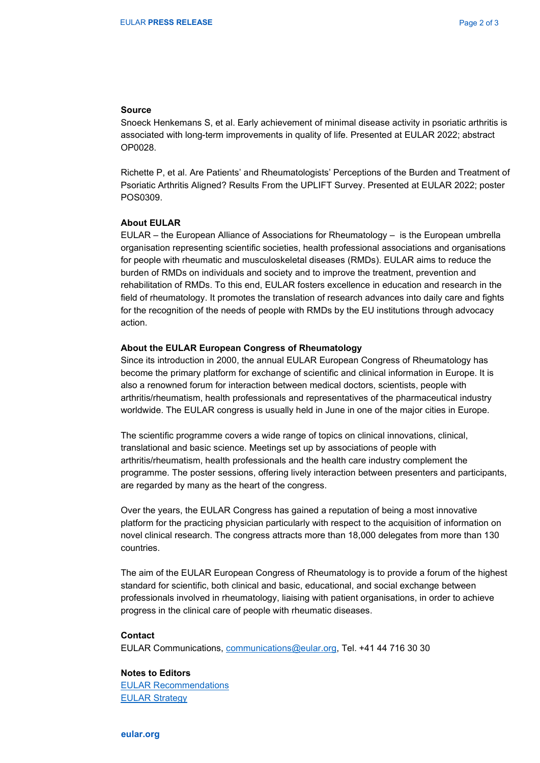#### Source

Snoeck Henkemans S, et al. Early achievement of minimal disease activity in psoriatic arthritis is associated with long-term improvements in quality of life. Presented at EULAR 2022; abstract OP0028.

Richette P, et al. Are Patients' and Rheumatologists' Perceptions of the Burden and Treatment of Psoriatic Arthritis Aligned? Results From the UPLIFT Survey. Presented at EULAR 2022; poster POS0309.

#### About EULAR

EULAR – the European Alliance of Associations for Rheumatology – is the European umbrella organisation representing scientific societies, health professional associations and organisations for people with rheumatic and musculoskeletal diseases (RMDs). EULAR aims to reduce the burden of RMDs on individuals and society and to improve the treatment, prevention and rehabilitation of RMDs. To this end, EULAR fosters excellence in education and research in the field of rheumatology. It promotes the translation of research advances into daily care and fights for the recognition of the needs of people with RMDs by the EU institutions through advocacy action.

#### About the EULAR European Congress of Rheumatology

Since its introduction in 2000, the annual EULAR European Congress of Rheumatology has become the primary platform for exchange of scientific and clinical information in Europe. It is also a renowned forum for interaction between medical doctors, scientists, people with arthritis/rheumatism, health professionals and representatives of the pharmaceutical industry worldwide. The EULAR congress is usually held in June in one of the major cities in Europe.

The scientific programme covers a wide range of topics on clinical innovations, clinical, translational and basic science. Meetings set up by associations of people with arthritis/rheumatism, health professionals and the health care industry complement the programme. The poster sessions, offering lively interaction between presenters and participants, are regarded by many as the heart of the congress.

Over the years, the EULAR Congress has gained a reputation of being a most innovative platform for the practicing physician particularly with respect to the acquisition of information on novel clinical research. The congress attracts more than 18,000 delegates from more than 130 countries.

The aim of the EULAR European Congress of Rheumatology is to provide a forum of the highest standard for scientific, both clinical and basic, educational, and social exchange between professionals involved in rheumatology, liaising with patient organisations, in order to achieve progress in the clinical care of people with rheumatic diseases.

#### Contact

EULAR Communications, communications@eular.org, Tel. +41 44 716 30 30

#### Notes to Editors

EULAR Recommendations EULAR Strategy

eular.org